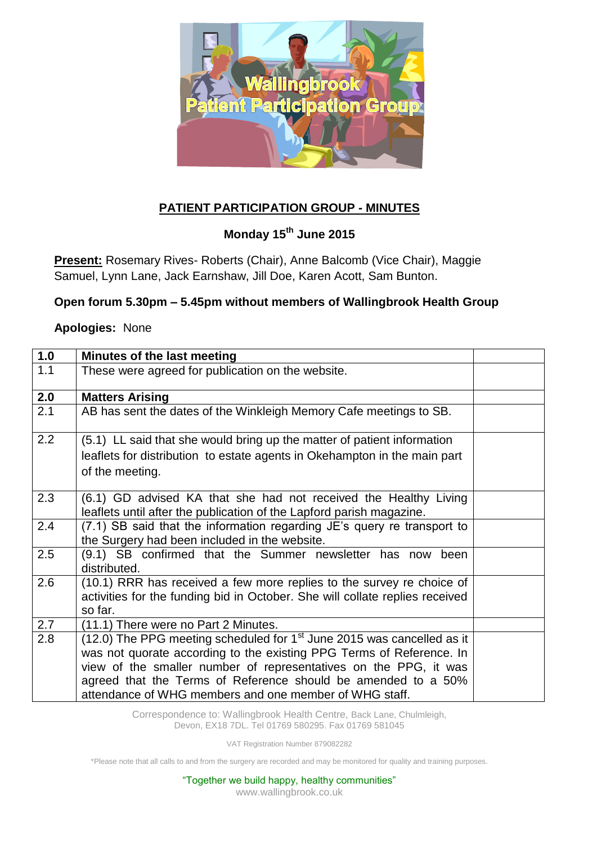

## **PATIENT PARTICIPATION GROUP - MINUTES**

## **Monday 15th June 2015**

**Present:** Rosemary Rives- Roberts (Chair), Anne Balcomb (Vice Chair), Maggie Samuel, Lynn Lane, Jack Earnshaw, Jill Doe, Karen Acott, Sam Bunton.

## **Open forum 5.30pm – 5.45pm without members of Wallingbrook Health Group**

## **Apologies:** None

| 1.0 | <b>Minutes of the last meeting</b>                                           |  |
|-----|------------------------------------------------------------------------------|--|
| 1.1 | These were agreed for publication on the website.                            |  |
| 2.0 | <b>Matters Arising</b>                                                       |  |
| 2.1 | AB has sent the dates of the Winkleigh Memory Cafe meetings to SB.           |  |
| 2.2 | (5.1) LL said that she would bring up the matter of patient information      |  |
|     | leaflets for distribution to estate agents in Okehampton in the main part    |  |
|     | of the meeting.                                                              |  |
|     |                                                                              |  |
| 2.3 | (6.1) GD advised KA that she had not received the Healthy Living             |  |
|     | leaflets until after the publication of the Lapford parish magazine.         |  |
| 2.4 | (7.1) SB said that the information regarding JE's query re transport to      |  |
|     | the Surgery had been included in the website.                                |  |
| 2.5 | (9.1) SB confirmed that the Summer newsletter has now been<br>distributed.   |  |
| 2.6 | (10.1) RRR has received a few more replies to the survey re choice of        |  |
|     | activities for the funding bid in October. She will collate replies received |  |
|     | so far.                                                                      |  |
| 2.7 | (11.1) There were no Part 2 Minutes.                                         |  |
| 2.8 | (12.0) The PPG meeting scheduled for $1st$ June 2015 was cancelled as it     |  |
|     | was not quorate according to the existing PPG Terms of Reference. In         |  |
|     | view of the smaller number of representatives on the PPG, it was             |  |
|     | agreed that the Terms of Reference should be amended to a 50%                |  |
|     | attendance of WHG members and one member of WHG staff.                       |  |

Correspondence to: Wallingbrook Health Centre, Back Lane, Chulmleigh, Devon, EX18 7DL. Tel 01769 580295. Fax 01769 581045

VAT Registration Number 879082282

\*Please note that all calls to and from the surgery are recorded and may be monitored for quality and training purposes.